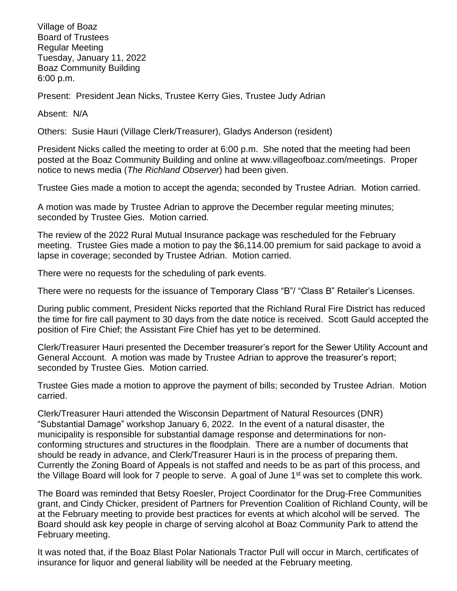Village of Boaz Board of Trustees Regular Meeting Tuesday, January 11, 2022 Boaz Community Building 6:00 p.m.

Present: President Jean Nicks, Trustee Kerry Gies, Trustee Judy Adrian

Absent: N/A

Others: Susie Hauri (Village Clerk/Treasurer), Gladys Anderson (resident)

President Nicks called the meeting to order at 6:00 p.m. She noted that the meeting had been posted at the Boaz Community Building and online at [www.villageofboaz.com/meetings.](http://www.villageofboaz.com/meetings) Proper notice to news media (*The Richland Observer*) had been given.

Trustee Gies made a motion to accept the agenda; seconded by Trustee Adrian. Motion carried.

A motion was made by Trustee Adrian to approve the December regular meeting minutes; seconded by Trustee Gies. Motion carried.

The review of the 2022 Rural Mutual Insurance package was rescheduled for the February meeting. Trustee Gies made a motion to pay the \$6,114.00 premium for said package to avoid a lapse in coverage; seconded by Trustee Adrian. Motion carried.

There were no requests for the scheduling of park events.

There were no requests for the issuance of Temporary Class "B"/ "Class B" Retailer's Licenses.

During public comment, President Nicks reported that the Richland Rural Fire District has reduced the time for fire call payment to 30 days from the date notice is received. Scott Gauld accepted the position of Fire Chief; the Assistant Fire Chief has yet to be determined.

Clerk/Treasurer Hauri presented the December treasurer's report for the Sewer Utility Account and General Account. A motion was made by Trustee Adrian to approve the treasurer's report; seconded by Trustee Gies. Motion carried.

Trustee Gies made a motion to approve the payment of bills; seconded by Trustee Adrian. Motion carried.

Clerk/Treasurer Hauri attended the Wisconsin Department of Natural Resources (DNR) "Substantial Damage" workshop January 6, 2022. In the event of a natural disaster, the municipality is responsible for substantial damage response and determinations for nonconforming structures and structures in the floodplain. There are a number of documents that should be ready in advance, and Clerk/Treasurer Hauri is in the process of preparing them. Currently the Zoning Board of Appeals is not staffed and needs to be as part of this process, and the Village Board will look for 7 people to serve. A goal of June 1st was set to complete this work.

The Board was reminded that Betsy Roesler, Project Coordinator for the Drug-Free Communities grant, and Cindy Chicker, president of Partners for Prevention Coalition of Richland County, will be at the February meeting to provide best practices for events at which alcohol will be served. The Board should ask key people in charge of serving alcohol at Boaz Community Park to attend the February meeting.

It was noted that, if the Boaz Blast Polar Nationals Tractor Pull will occur in March, certificates of insurance for liquor and general liability will be needed at the February meeting.